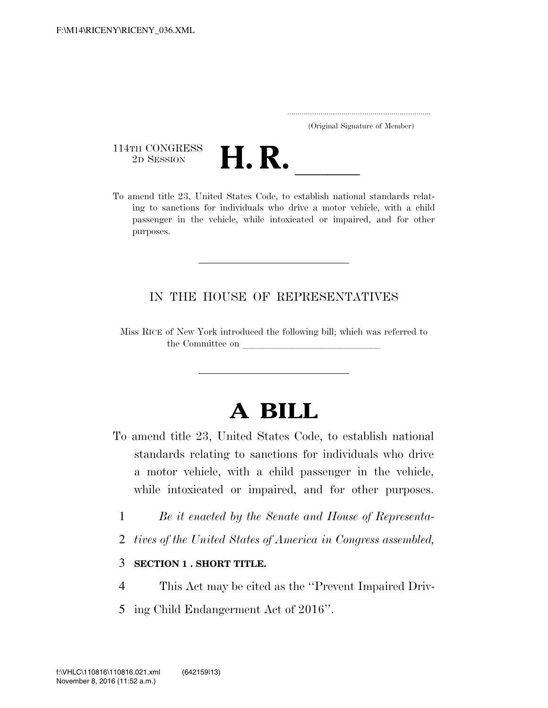..................................................................... (Original Signature of Member)

114TH CONGRESS<br>2D SESSION



THE CONGRESS<br>
2D SESSION<br>
To amend title 23, United States Code, to establish national standards relating to sanctions for individuals who drive a motor vehicle, with a child passenger in the vehicle, while intoxicated or impaired, and for other purposes.

## IN THE HOUSE OF REPRESENTATIVES

Miss RICE of New York introduced the following bill; which was referred to the Committee on

## **A BILL**

- To amend title 23, United States Code, to establish national standards relating to sanctions for individuals who drive a motor vehicle, with a child passenger in the vehicle, while intoxicated or impaired, and for other purposes.
	- 1 *Be it enacted by the Senate and House of Representa-*
	- 2 *tives of the United States of America in Congress assembled,*

## 3 **SECTION 1 . SHORT TITLE.**

- 4 This Act may be cited as the ''Prevent Impaired Driv-
- 5 ing Child Endangerment Act of 2016''.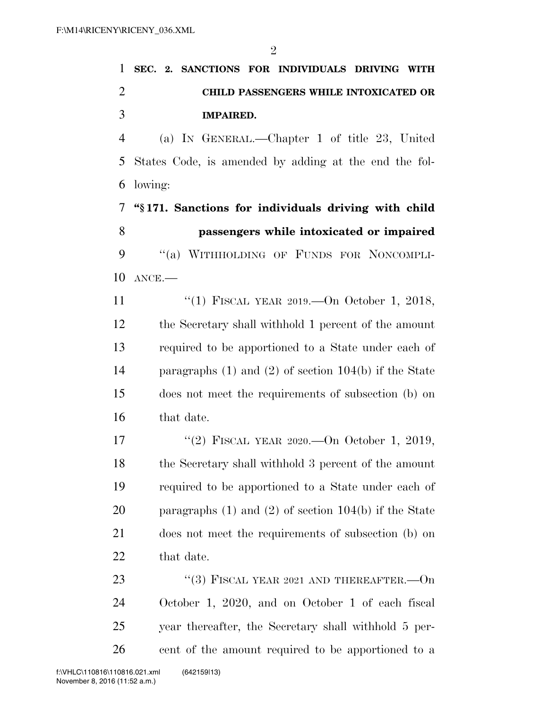|               |  |                  | 1 SEC. 2. SANCTIONS FOR INDIVIDUALS DRIVING WITH |  |
|---------------|--|------------------|--------------------------------------------------|--|
|               |  |                  | <b>CHILD PASSENGERS WHILE INTOXICATED OR</b>     |  |
| $\mathcal{R}$ |  | <b>IMPAIRED.</b> |                                                  |  |

 (a) IN GENERAL.—Chapter 1 of title 23, United States Code, is amended by adding at the end the fol-lowing:

 **''§ 171. Sanctions for individuals driving with child passengers while intoxicated or impaired**  9 "(a) WITHHOLDING OF FUNDS FOR NONCOMPLI-ANCE.—

11 "(1) FISCAL YEAR 2019.—On October 1, 2018, the Secretary shall withhold 1 percent of the amount required to be apportioned to a State under each of paragraphs (1) and (2) of section 104(b) if the State does not meet the requirements of subsection (b) on that date.

 ''(2) FISCAL YEAR 2020.—On October 1, 2019, the Secretary shall withhold 3 percent of the amount required to be apportioned to a State under each of paragraphs (1) and (2) of section 104(b) if the State does not meet the requirements of subsection (b) on that date.

23 "(3) FISCAL YEAR 2021 AND THEREAFTER.—On October 1, 2020, and on October 1 of each fiscal year thereafter, the Secretary shall withhold 5 per-cent of the amount required to be apportioned to a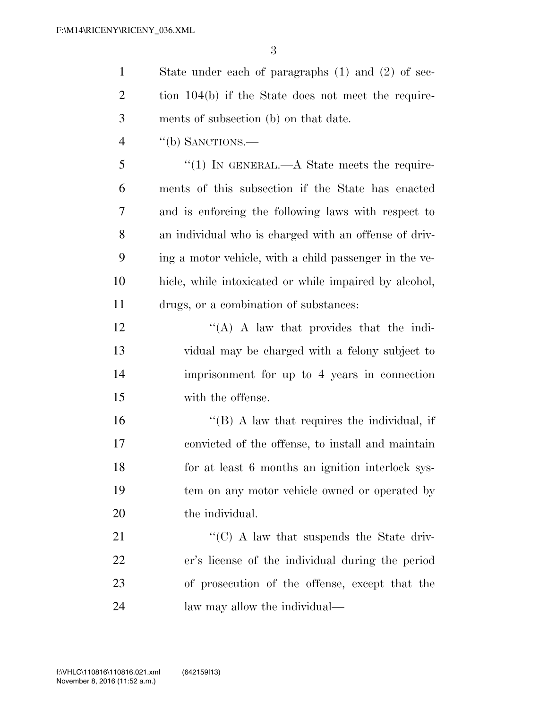State under each of paragraphs (1) and (2) of sec-2 tion 104(b) if the State does not meet the require-ments of subsection (b) on that date.

''(b) SANCTIONS.—

5 "(1) In GENERAL.—A State meets the require- ments of this subsection if the State has enacted and is enforcing the following laws with respect to an individual who is charged with an offense of driv- ing a motor vehicle, with a child passenger in the ve- hicle, while intoxicated or while impaired by alcohol, drugs, or a combination of substances:

 $'$ (A) A law that provides that the indi- vidual may be charged with a felony subject to imprisonment for up to 4 years in connection with the offense.

16 ''(B) A law that requires the individual, if convicted of the offense, to install and maintain for at least 6 months an ignition interlock sys- tem on any motor vehicle owned or operated by 20 the individual.

 $\cdot$  (C) A law that suspends the State driv- er's license of the individual during the period of prosecution of the offense, except that the law may allow the individual—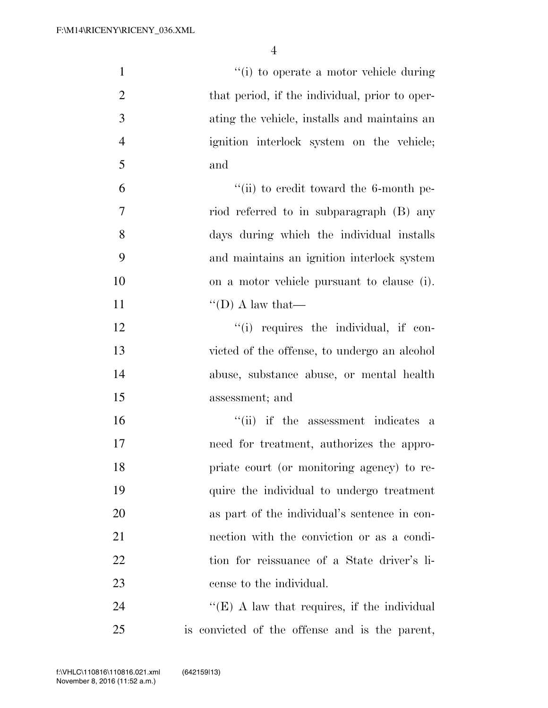| $\mathbf{1}$   | "(i) to operate a motor vehicle during         |
|----------------|------------------------------------------------|
| $\overline{2}$ | that period, if the individual, prior to oper- |
| 3              | ating the vehicle, installs and maintains an   |
| $\overline{4}$ | ignition interlock system on the vehicle;      |
| 5              | and                                            |
| 6              | $``$ (ii) to credit toward the 6-month pe-     |
| 7              | riod referred to in subparagraph (B) any       |
| 8              | days during which the individual installs      |
| 9              | and maintains an ignition interlock system     |
| 10             | on a motor vehicle pursuant to clause (i).     |
| 11             | $\lq\lq$ (D) A law that—                       |
| 12             | "(i) requires the individual, if con-          |
| 13             | victed of the offense, to undergo an alcohol   |
| 14             | abuse, substance abuse, or mental health       |
| 15             | assessment; and                                |
| 16             | "(ii) if the assessment indicates a            |
| 17             | need for treatment, authorizes the appro-      |
| 18             | priate court (or monitoring agency) to re-     |
| 19             | quire the individual to undergo treatment      |
| 20             | as part of the individual's sentence in con-   |
| 21             | nection with the conviction or as a condi-     |
| 22             | tion for reissuance of a State driver's li-    |
| 23             | cense to the individual.                       |
| 24             | " $(E)$ A law that requires, if the individual |
| 25             | is convicted of the offense and is the parent, |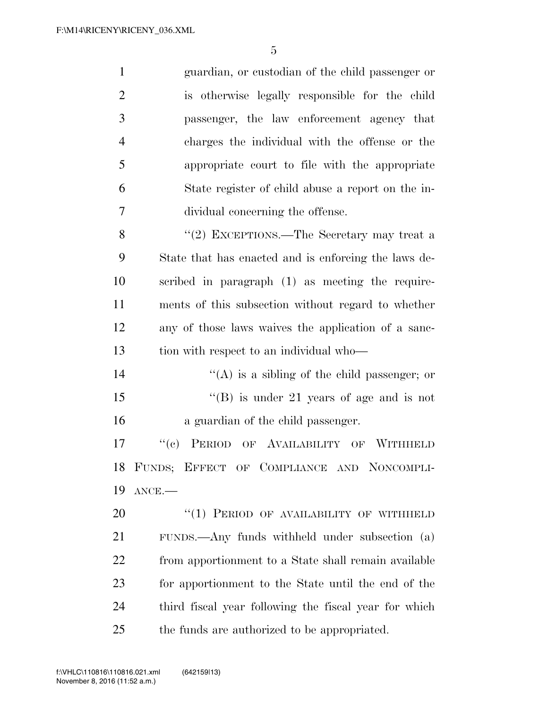| $\mathbf{1}$   | guardian, or custodian of the child passenger or      |
|----------------|-------------------------------------------------------|
| $\overline{2}$ | is otherwise legally responsible for the child        |
| 3              | passenger, the law enforcement agency that            |
| $\overline{4}$ | charges the individual with the offense or the        |
| 5              | appropriate court to file with the appropriate        |
| 6              | State register of child abuse a report on the in-     |
| 7              | dividual concerning the offense.                      |
| 8              | "(2) EXCEPTIONS.—The Secretary may treat a            |
| 9              | State that has enacted and is enforcing the laws de-  |
| 10             | scribed in paragraph (1) as meeting the require-      |
| 11             | ments of this subsection without regard to whether    |
| 12             | any of those laws waives the application of a sanc-   |
| 13             | tion with respect to an individual who—               |
| 14             | $\lq\lq$ is a sibling of the child passenger; or      |
| 15             | "(B) is under 21 years of age and is not              |
| 16             | a guardian of the child passenger.                    |
| 17             | PERIOD OF AVAILABILITY OF WITHHELD<br>``(e)           |
| 18             | FUNDS; EFFECT OF COMPLIANCE AND NONCOMPLI-            |
| 19             | $ANCE$ .                                              |
| 20             | "(1) PERIOD OF AVAILABILITY OF WITHHELD               |
| 21             | FUNDS.—Any funds withheld under subsection (a)        |
| 22             | from apportionment to a State shall remain available  |
| 23             | for apportionment to the State until the end of the   |
| 24             | third fiscal year following the fiscal year for which |

the funds are authorized to be appropriated.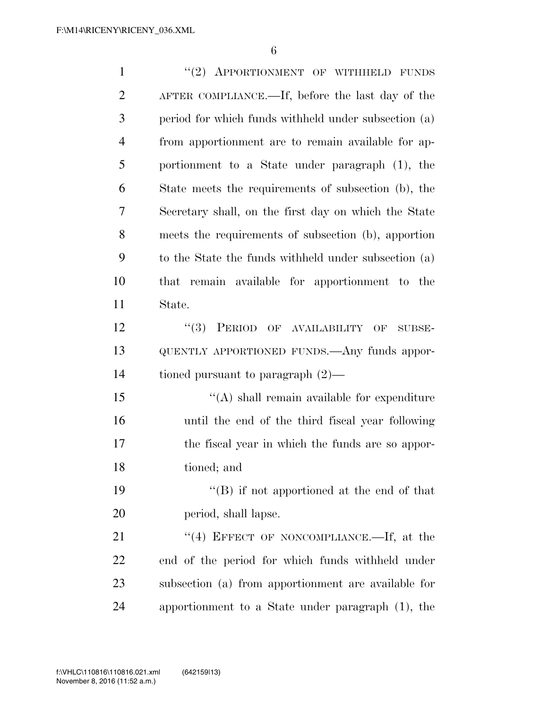| $\mathbf{1}$   | "(2) APPORTIONMENT OF WITHHELD FUNDS                 |
|----------------|------------------------------------------------------|
| $\overline{2}$ | AFTER COMPLIANCE.—If, before the last day of the     |
| 3              | period for which funds withheld under subsection (a) |
| $\overline{4}$ | from apportionment are to remain available for ap-   |
| 5              | portionment to a State under paragraph (1), the      |
| 6              | State meets the requirements of subsection (b), the  |
| 7              | Secretary shall, on the first day on which the State |
| 8              | meets the requirements of subsection (b), apportion  |
| 9              | to the State the funds withheld under subsection (a) |
| 10             | that remain available for apportionment to the       |
| 11             | State.                                               |
| 12             | $(3)$ PERIOD OF AVAILABILITY<br>OF<br>SUBSE-         |
| 13             | QUENTLY APPORTIONED FUNDS. Any funds appor-          |
| 14             | tioned pursuant to paragraph $(2)$ —                 |
| 15             | $\lq\lq$ shall remain available for expenditure      |
| 16             | until the end of the third fiscal year following     |
| 17             | the fiscal year in which the funds are so appor-     |
| 18             | tioned; and                                          |
| 19             | $\lq\lq$ if not apportioned at the end of that       |
| 20             | period, shall lapse.                                 |
| 21             | "(4) EFFECT OF NONCOMPLIANCE.—If, at the             |
| 22             | end of the period for which funds withheld under     |
| 23             | subsection (a) from apportionment are available for  |
| 24             | apportionment to a State under paragraph (1), the    |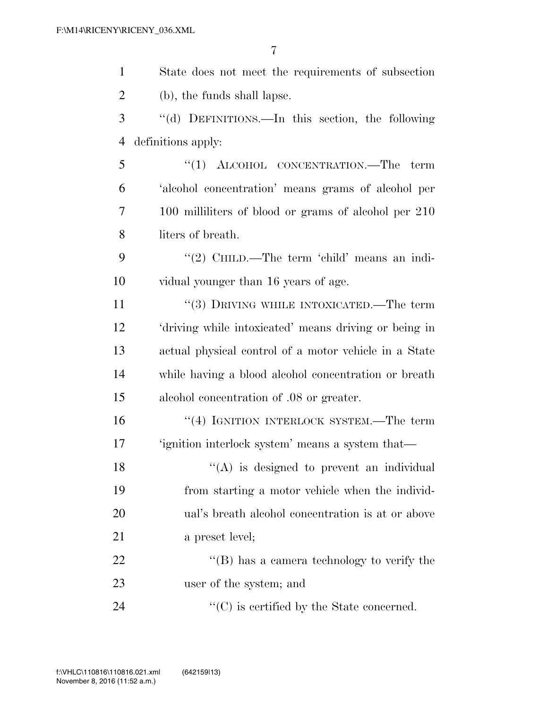| $\mathbf{1}$   | State does not meet the requirements of subsection    |
|----------------|-------------------------------------------------------|
| $\overline{2}$ | (b), the funds shall lapse.                           |
| 3              | "(d) DEFINITIONS.—In this section, the following      |
| 4              | definitions apply:                                    |
| 5              | "(1) ALCOHOL CONCENTRATION.—The term                  |
| 6              | 'alcohol concentration' means grams of alcohol per    |
| 7              | 100 milliliters of blood or grams of alcohol per 210  |
| 8              | liters of breath.                                     |
| 9              | "(2) CHILD.—The term 'child' means an indi-           |
| 10             | vidual younger than 16 years of age.                  |
| 11             | "(3) DRIVING WHILE INTOXICATED.—The term              |
| 12             | 'driving while intoxicated' means driving or being in |
| 13             | actual physical control of a motor vehicle in a State |
| 14             | while having a blood alcohol concentration or breath  |
| 15             | alcohol concentration of .08 or greater.              |
| 16             | "(4) IGNITION INTERLOCK SYSTEM.—The term              |
| 17             | 'ignition interlock system' means a system that—      |
| 18             | $\lq($ A) is designed to prevent an individual        |
| 19             | from starting a motor vehicle when the individ-       |
| 20             | ual's breath alcohol concentration is at or above     |
| 21             | a preset level;                                       |
| 22             | $\lq\lq (B)$ has a camera technology to verify the    |
| 23             | user of the system; and                               |
| 24             | $\lq\lq$ (C) is certified by the State concerned.     |